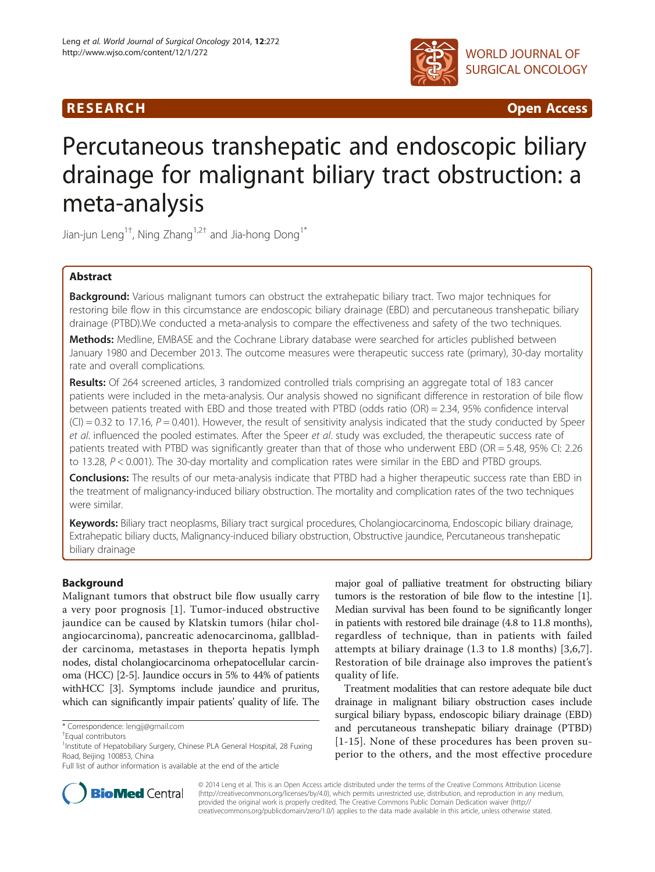# **RESEARCH CHINESE ARCH CHINESE ARCH CHINESE ARCH <b>CHINESE ARCH CHINESE ARCH CHINESE ARCH <b>CHINESE ARCH** CHINESE ARCH **CHINESE ARCH 2014**



# Percutaneous transhepatic and endoscopic biliary drainage for malignant biliary tract obstruction: a meta-analysis

Jian-jun Leng<sup>1†</sup>, Ning Zhang<sup>1,2†</sup> and Jia-hong Dong<sup>1\*</sup>

# Abstract

Background: Various malignant tumors can obstruct the extrahepatic biliary tract. Two major techniques for restoring bile flow in this circumstance are endoscopic biliary drainage (EBD) and percutaneous transhepatic biliary drainage (PTBD).We conducted a meta-analysis to compare the effectiveness and safety of the two techniques.

Methods: Medline, EMBASE and the Cochrane Library database were searched for articles published between January 1980 and December 2013. The outcome measures were therapeutic success rate (primary), 30-day mortality rate and overall complications.

Results: Of 264 screened articles, 3 randomized controlled trials comprising an aggregate total of 183 cancer patients were included in the meta-analysis. Our analysis showed no significant difference in restoration of bile flow between patients treated with EBD and those treated with PTBD (odds ratio (OR) = 2.34, 95% confidence interval  $(CI) = 0.32$  to 17.16,  $P = 0.401$ ). However, the result of sensitivity analysis indicated that the study conducted by Speer et al. influenced the pooled estimates. After the Speer et al. study was excluded, the therapeutic success rate of patients treated with PTBD was significantly greater than that of those who underwent EBD (OR = 5.48, 95% CI: 2.26 to 13.28, P < 0.001). The 30-day mortality and complication rates were similar in the EBD and PTBD groups.

Conclusions: The results of our meta-analysis indicate that PTBD had a higher therapeutic success rate than EBD in the treatment of malignancy-induced biliary obstruction. The mortality and complication rates of the two techniques were similar.

Keywords: Biliary tract neoplasms, Biliary tract surgical procedures, Cholangiocarcinoma, Endoscopic biliary drainage, Extrahepatic biliary ducts, Malignancy-induced biliary obstruction, Obstructive jaundice, Percutaneous transhepatic biliary drainage

# Background

Malignant tumors that obstruct bile flow usually carry a very poor prognosis [[1](#page-6-0)]. Tumor-induced obstructive jaundice can be caused by Klatskin tumors (hilar cholangiocarcinoma), pancreatic adenocarcinoma, gallbladder carcinoma, metastases in theporta hepatis lymph nodes, distal cholangiocarcinoma orhepatocellular carcinoma (HCC) [\[2-5](#page-6-0)]. Jaundice occurs in 5% to 44% of patients withHCC [[3](#page-6-0)]. Symptoms include jaundice and pruritus, which can significantly impair patients' quality of life. The

major goal of palliative treatment for obstructing biliary tumors is the restoration of bile flow to the intestine [[1](#page-6-0)]. Median survival has been found to be significantly longer in patients with restored bile drainage (4.8 to 11.8 months), regardless of technique, than in patients with failed attempts at biliary drainage (1.3 to 1.8 months) [[3](#page-6-0),[6,7](#page-6-0)]. Restoration of bile drainage also improves the patient's quality of life.

Treatment modalities that can restore adequate bile duct drainage in malignant biliary obstruction cases include surgical biliary bypass, endoscopic biliary drainage (EBD) and percutaneous transhepatic biliary drainage (PTBD) [[1](#page-6-0)-[15](#page-7-0)]. None of these procedures has been proven superior to the others, and the most effective procedure



© 2014 Leng et al. This is an Open Access article distributed under the terms of the Creative Commons Attribution License [\(http://creativecommons.org/licenses/by/4.0\)](http://creativecommons.org/licenses/by/4.0), which permits unrestricted use, distribution, and reproduction in any medium, provided the original work is properly credited. The Creative Commons Public Domain Dedication waiver [\(http://](http://creativecommons.org/publicdomain/zero/1.0/) [creativecommons.org/publicdomain/zero/1.0/\)](http://creativecommons.org/publicdomain/zero/1.0/) applies to the data made available in this article, unless otherwise stated.

<sup>\*</sup> Correspondence: [lengjj@gmail.com](mailto:lengjj@gmail.com) †

Equal contributors

<sup>&</sup>lt;sup>1</sup>Institute of Hepatobiliary Surgery, Chinese PLA General Hospital, 28 Fuxing Road, Beijing 100853, China

Full list of author information is available at the end of the article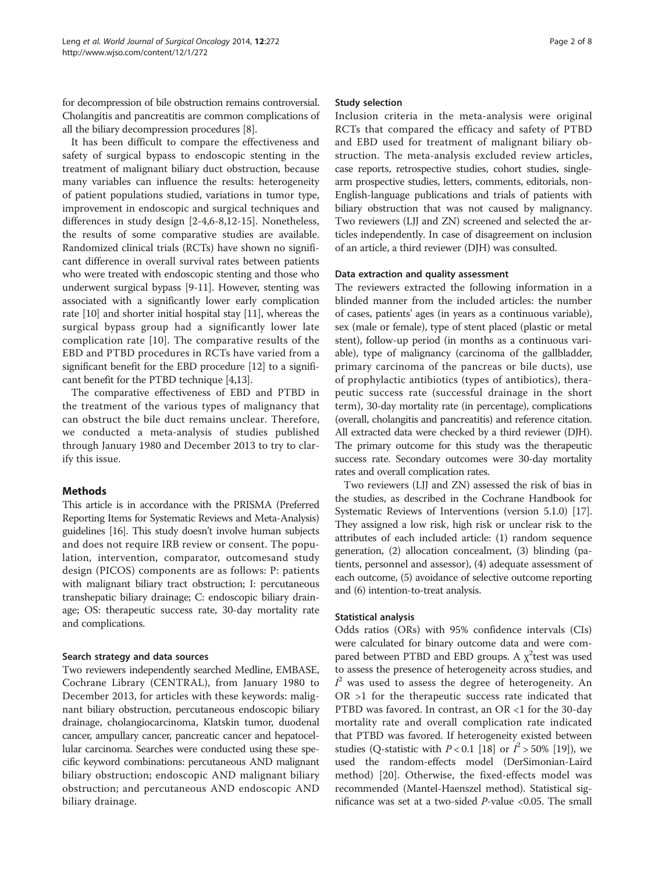for decompression of bile obstruction remains controversial. Cholangitis and pancreatitis are common complications of all the biliary decompression procedures [\[8\]](#page-6-0).

It has been difficult to compare the effectiveness and safety of surgical bypass to endoscopic stenting in the treatment of malignant biliary duct obstruction, because many variables can influence the results: heterogeneity of patient populations studied, variations in tumor type, improvement in endoscopic and surgical techniques and differences in study design [[2-4,6](#page-6-0)-[8,](#page-6-0)[12-15](#page-7-0)]. Nonetheless, the results of some comparative studies are available. Randomized clinical trials (RCTs) have shown no significant difference in overall survival rates between patients who were treated with endoscopic stenting and those who underwent surgical bypass [[9-11\]](#page-7-0). However, stenting was associated with a significantly lower early complication rate [\[10\]](#page-7-0) and shorter initial hospital stay [[11](#page-7-0)], whereas the surgical bypass group had a significantly lower late complication rate [[10\]](#page-7-0). The comparative results of the EBD and PTBD procedures in RCTs have varied from a significant benefit for the EBD procedure [[12](#page-7-0)] to a significant benefit for the PTBD technique [\[4](#page-6-0)[,13\]](#page-7-0).

The comparative effectiveness of EBD and PTBD in the treatment of the various types of malignancy that can obstruct the bile duct remains unclear. Therefore, we conducted a meta-analysis of studies published through January 1980 and December 2013 to try to clarify this issue.

# **Methods**

This article is in accordance with the PRISMA (Preferred Reporting Items for Systematic Reviews and Meta-Analysis) guidelines [\[16\]](#page-7-0). This study doesn't involve human subjects and does not require IRB review or consent. The population, intervention, comparator, outcomesand study design (PICOS) components are as follows: P: patients with malignant biliary tract obstruction; I: percutaneous transhepatic biliary drainage; C: endoscopic biliary drainage; OS: therapeutic success rate, 30-day mortality rate and complications.

# Search strategy and data sources

Two reviewers independently searched Medline, EMBASE, Cochrane Library (CENTRAL), from January 1980 to December 2013, for articles with these keywords: malignant biliary obstruction, percutaneous endoscopic biliary drainage, cholangiocarcinoma, Klatskin tumor, duodenal cancer, ampullary cancer, pancreatic cancer and hepatocellular carcinoma. Searches were conducted using these specific keyword combinations: percutaneous AND malignant biliary obstruction; endoscopic AND malignant biliary obstruction; and percutaneous AND endoscopic AND biliary drainage.

## Study selection

Inclusion criteria in the meta-analysis were original RCTs that compared the efficacy and safety of PTBD and EBD used for treatment of malignant biliary obstruction. The meta-analysis excluded review articles, case reports, retrospective studies, cohort studies, singlearm prospective studies, letters, comments, editorials, non-English-language publications and trials of patients with biliary obstruction that was not caused by malignancy. Two reviewers (LJJ and ZN) screened and selected the articles independently. In case of disagreement on inclusion of an article, a third reviewer (DJH) was consulted.

## Data extraction and quality assessment

The reviewers extracted the following information in a blinded manner from the included articles: the number of cases, patients' ages (in years as a continuous variable), sex (male or female), type of stent placed (plastic or metal stent), follow-up period (in months as a continuous variable), type of malignancy (carcinoma of the gallbladder, primary carcinoma of the pancreas or bile ducts), use of prophylactic antibiotics (types of antibiotics), therapeutic success rate (successful drainage in the short term), 30-day mortality rate (in percentage), complications (overall, cholangitis and pancreatitis) and reference citation. All extracted data were checked by a third reviewer (DJH). The primary outcome for this study was the therapeutic success rate. Secondary outcomes were 30-day mortality rates and overall complication rates.

Two reviewers (LJJ and ZN) assessed the risk of bias in the studies, as described in the Cochrane Handbook for Systematic Reviews of Interventions (version 5.1.0) [[17](#page-7-0)]. They assigned a low risk, high risk or unclear risk to the attributes of each included article: (1) random sequence generation, (2) allocation concealment, (3) blinding (patients, personnel and assessor), (4) adequate assessment of each outcome, (5) avoidance of selective outcome reporting and (6) intention-to-treat analysis.

# Statistical analysis

Odds ratios (ORs) with 95% confidence intervals (CIs) were calculated for binary outcome data and were compared between PTBD and EBD groups. A  $\chi^2$ test was used to assess the presence of heterogeneity across studies, and  $I^2$  was used to assess the degree of heterogeneity. An OR >1 for the therapeutic success rate indicated that PTBD was favored. In contrast, an OR <1 for the 30-day mortality rate and overall complication rate indicated that PTBD was favored. If heterogeneity existed between studies (Q-statistic with  $P < 0.1$  [\[18\]](#page-7-0) or  $I^2 > 50\%$  [[19\]](#page-7-0)), we used the random-effects model (DerSimonian-Laird method) [\[20](#page-7-0)]. Otherwise, the fixed-effects model was recommended (Mantel-Haenszel method). Statistical significance was set at a two-sided P-value <0.05. The small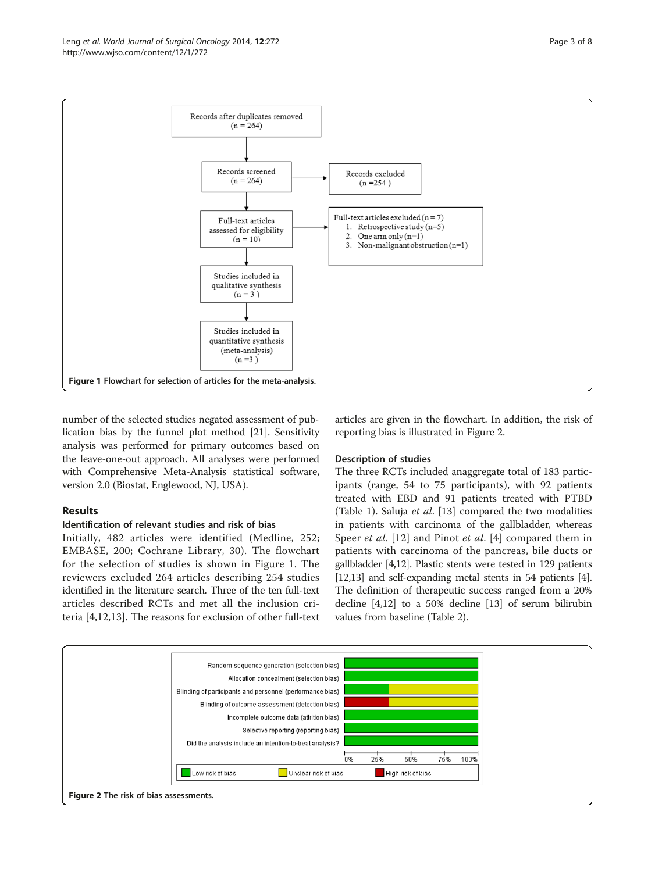

number of the selected studies negated assessment of publication bias by the funnel plot method [[21](#page-7-0)]. Sensitivity analysis was performed for primary outcomes based on the leave-one-out approach. All analyses were performed with Comprehensive Meta-Analysis statistical software, version 2.0 (Biostat, Englewood, NJ, USA).

# Results

# Identification of relevant studies and risk of bias

Initially, 482 articles were identified (Medline, 252; EMBASE, 200; Cochrane Library, 30). The flowchart for the selection of studies is shown in Figure 1. The reviewers excluded 264 articles describing 254 studies identified in the literature search. Three of the ten full-text articles described RCTs and met all the inclusion criteria [\[4](#page-6-0),[12,13\]](#page-7-0). The reasons for exclusion of other full-text articles are given in the flowchart. In addition, the risk of reporting bias is illustrated in Figure 2.

# Description of studies

The three RCTs included anaggregate total of 183 participants (range, 54 to 75 participants), with 92 patients treated with EBD and 91 patients treated with PTBD (Table [1](#page-3-0)). Saluja et al. [[13\]](#page-7-0) compared the two modalities in patients with carcinoma of the gallbladder, whereas Speer *et al.* [\[12\]](#page-7-0) and Pinot *et al.* [[4\]](#page-6-0) compared them in patients with carcinoma of the pancreas, bile ducts or gallbladder [[4](#page-6-0)[,12\]](#page-7-0). Plastic stents were tested in 129 patients [[12,13\]](#page-7-0) and self-expanding metal stents in 54 patients [[4](#page-6-0)]. The definition of therapeutic success ranged from a 20% decline [\[4](#page-6-0)[,12\]](#page-7-0) to a 50% decline [[13](#page-7-0)] of serum bilirubin values from baseline (Table [2\)](#page-4-0).

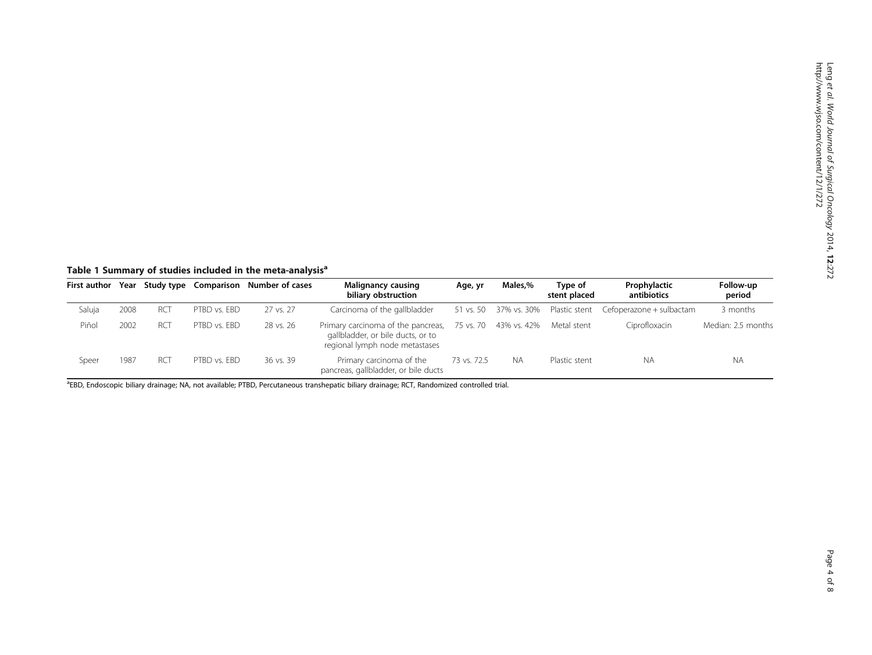<span id="page-3-0"></span>Table 1 Summary of studies included in the meta-analysis<sup>a</sup>

| <b>First author</b> | Year |                 |              | Study type Comparison Number of cases | <b>Malignancy causing</b><br>biliary obstruction                                                          | Age, yr     | Males,%               | Type of<br>stent placed             | Prophylactic<br>antibiotics | Follow-up<br>period |  |
|---------------------|------|-----------------|--------------|---------------------------------------|-----------------------------------------------------------------------------------------------------------|-------------|-----------------------|-------------------------------------|-----------------------------|---------------------|--|
| Saluja              | 2008 | <b>RCT</b>      | PTBD vs. EBD | 27 vs. 27                             | Carcinoma of the gallbladder                                                                              |             |                       | 51 vs. 50 37% vs. 30% Plastic stent | Cefoperazone + sulbactam    | 3 months            |  |
| Piñol               | 2002 | RC <sub>1</sub> | PTBD vs. FBD | 28 vs. 26                             | Primary carcinoma of the pancreas,<br>gallbladder, or bile ducts, or to<br>regional lymph node metastases |             | 75 vs. 70 43% vs. 42% | Metal stent                         | Ciprofloxacin               | Median: 2.5 months  |  |
| Speer               | 1987 | <b>RCT</b>      | PTBD vs. FBD | 36 vs. 39                             | Primary carcinoma of the<br>pancreas, gallbladder, or bile ducts                                          | 73 vs. 72.5 | <b>NA</b>             | Plastic stent                       | <b>NA</b>                   | N A                 |  |

<sup>a</sup>EBD, Endoscopic biliary drainage; NA, not available; PTBD, Percutaneous transhepatic biliary drainage; RCT, Randomized controlled trial.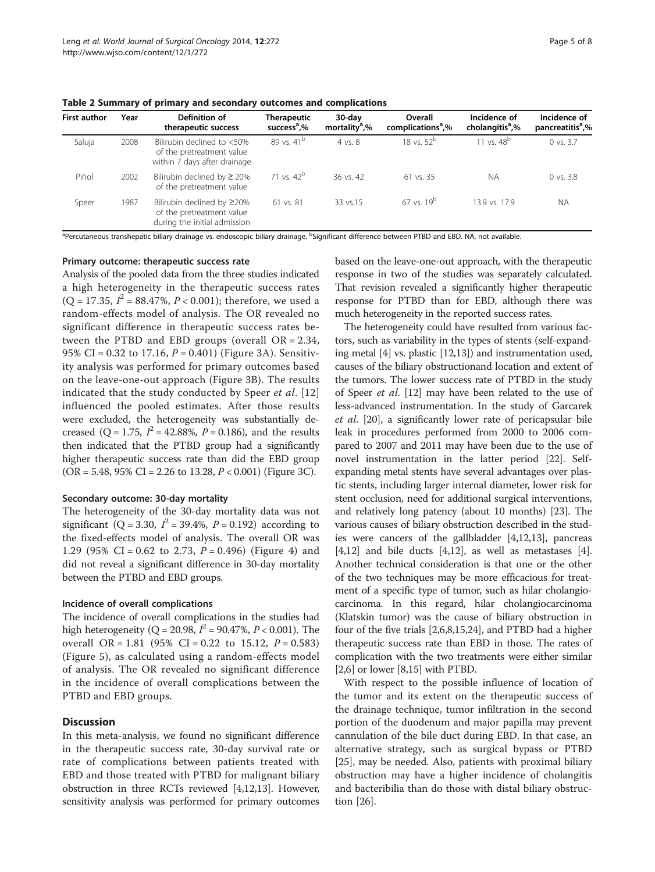<span id="page-4-0"></span>Table 2 Summary of primary and secondary outcomes and complications

| <b>First author</b> | Year | Definition of<br>therapeutic success                                                          | <b>Therapeutic</b><br>success <sup>a</sup> ,% | $30$ -day<br>mortality <sup>a</sup> ,% | Overall<br>complications <sup>a</sup> ,% | Incidence of<br>cholangitis <sup>a</sup> ,% | Incidence of<br>pancreatitis <sup>a</sup> ,% |
|---------------------|------|-----------------------------------------------------------------------------------------------|-----------------------------------------------|----------------------------------------|------------------------------------------|---------------------------------------------|----------------------------------------------|
| Saluja              | 2008 | Bilirubin declined to <50%<br>of the pretreatment value<br>within 7 days after drainage       | 89 vs. 41 <sup>b</sup>                        | 4 vs. 8                                | 18 vs. $52^b$                            | 11 vs. $48^b$                               | 0 vs. 3.7                                    |
| Piñol               | 2002 | Bilirubin declined by $\geq$ 20%<br>of the pretreatment value                                 | 71 vs. $42^b$                                 | 36 vs. 42                              | 61 vs. 35                                | <b>NA</b>                                   | $0$ vs. $3.8$                                |
| Speer               | 1987 | Bilirubin declined by $\geq$ 20%<br>of the pretreatment value<br>during the initial admission | $61$ vs. $81$                                 | 33 vs.15                               | $67$ vs. $19^b$                          | 13.9 vs. 17.9                               | <b>NA</b>                                    |

<sup>a</sup>Percutaneous transhepatic biliary drainage vs. endoscopic biliary drainage. <sup>b</sup>Significant difference between PTBD and EBD. NA, not available.

#### Primary outcome: therapeutic success rate

Analysis of the pooled data from the three studies indicated a high heterogeneity in the therapeutic success rates  $(Q = 17.35, I^2 = 88.47\%, P < 0.001)$ ; therefore, we used a random-effects model of analysis. The OR revealed no significant difference in therapeutic success rates between the PTBD and EBD groups (overall  $OR = 2.34$ , 95% CI = 0.32 to 17.16,  $P = 0.401$ ) (Figure [3A](#page-5-0)). Sensitivity analysis was performed for primary outcomes based on the leave-one-out approach (Figure [3](#page-5-0)B). The results indicated that the study conducted by Speer et al. [[12](#page-7-0)] influenced the pooled estimates. After those results were excluded, the heterogeneity was substantially decreased (Q = 1.75,  $I^2 = 42.88\%$ ,  $P = 0.186$ ), and the results then indicated that the PTBD group had a significantly higher therapeutic success rate than did the EBD group  $(OR = 5.48, 95\% CI = 2.26$  to 13.28,  $P < 0.001$ ) (Figure [3C](#page-5-0)).

#### Secondary outcome: 30-day mortality

The heterogeneity of the 30-day mortality data was not significant (Q = 3.30,  $I^2 = 39.4\%$ ,  $P = 0.192$ ) according to the fixed-effects model of analysis. The overall OR was 1.29 (95% CI = 0.62 to 2.73,  $P = 0.496$ ) (Figure [4\)](#page-5-0) and did not reveal a significant difference in 30-day mortality between the PTBD and EBD groups.

## Incidence of overall complications

The incidence of overall complications in the studies had high heterogeneity (Q = 20.98,  $I^2$  = 90.47%, P < 0.001). The overall OR = 1.81 (95% CI = 0.22 to 15.12,  $P = 0.583$ ) (Figure [5](#page-6-0)), as calculated using a random-effects model of analysis. The OR revealed no significant difference in the incidence of overall complications between the PTBD and EBD groups.

## **Discussion**

In this meta-analysis, we found no significant difference in the therapeutic success rate, 30-day survival rate or rate of complications between patients treated with EBD and those treated with PTBD for malignant biliary obstruction in three RCTs reviewed [\[4,](#page-6-0)[12,13](#page-7-0)]. However, sensitivity analysis was performed for primary outcomes based on the leave-one-out approach, with the therapeutic response in two of the studies was separately calculated. That revision revealed a significantly higher therapeutic response for PTBD than for EBD, although there was much heterogeneity in the reported success rates.

The heterogeneity could have resulted from various factors, such as variability in the types of stents (self-expanding metal [\[4\]](#page-6-0) vs. plastic [\[12,13](#page-7-0)]) and instrumentation used, causes of the biliary obstructionand location and extent of the tumors. The lower success rate of PTBD in the study of Speer et al. [\[12\]](#page-7-0) may have been related to the use of less-advanced instrumentation. In the study of Garcarek et al. [\[20](#page-7-0)], a significantly lower rate of pericapsular bile leak in procedures performed from 2000 to 2006 compared to 2007 and 2011 may have been due to the use of novel instrumentation in the latter period [\[22\]](#page-7-0). Selfexpanding metal stents have several advantages over plastic stents, including larger internal diameter, lower risk for stent occlusion, need for additional surgical interventions, and relatively long patency (about 10 months) [[23](#page-7-0)]. The various causes of biliary obstruction described in the studies were cancers of the gallbladder [[4](#page-6-0)[,12,13\]](#page-7-0), pancreas  $[4,12]$  $[4,12]$  $[4,12]$  $[4,12]$  and bile ducts  $[4,12]$  $[4,12]$ , as well as metastases  $[4]$  $[4]$  $[4]$ . Another technical consideration is that one or the other of the two techniques may be more efficacious for treatment of a specific type of tumor, such as hilar cholangiocarcinoma. In this regard, hilar cholangiocarcinoma (Klatskin tumor) was the cause of biliary obstruction in four of the five trials [[2,6,8](#page-6-0),[15,24\]](#page-7-0), and PTBD had a higher therapeutic success rate than EBD in those. The rates of complication with the two treatments were either similar [[2,6\]](#page-6-0) or lower [\[8](#page-6-0)[,15\]](#page-7-0) with PTBD.

With respect to the possible influence of location of the tumor and its extent on the therapeutic success of the drainage technique, tumor infiltration in the second portion of the duodenum and major papilla may prevent cannulation of the bile duct during EBD. In that case, an alternative strategy, such as surgical bypass or PTBD [[25\]](#page-7-0), may be needed. Also, patients with proximal biliary obstruction may have a higher incidence of cholangitis and bacteribilia than do those with distal biliary obstruction [\[26\]](#page-7-0).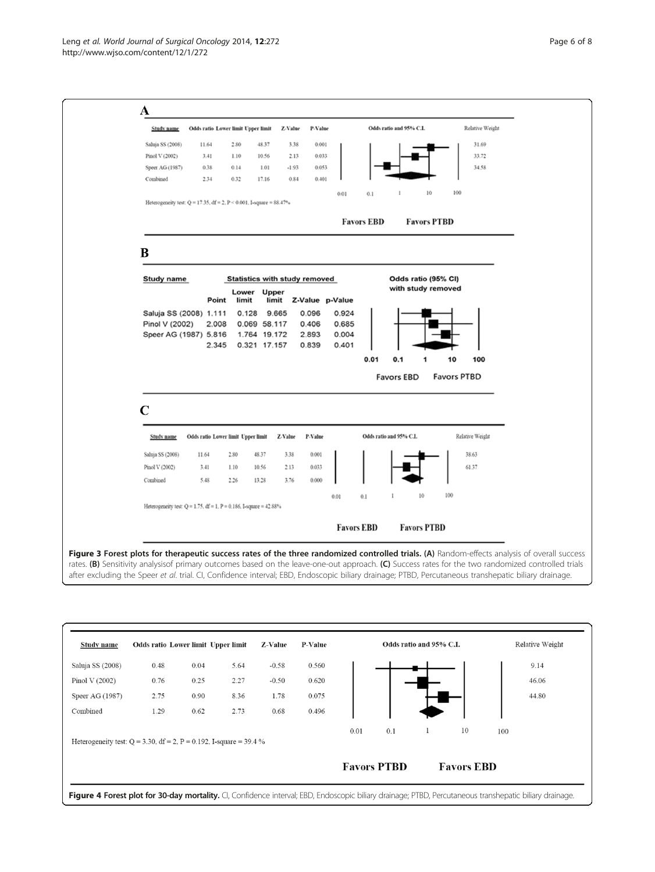<span id="page-5-0"></span>

Figure 3 Forest plots for therapeutic success rates of the three randomized controlled trials. (A) Random-effects analysis of overall success rates. (B) Sensitivity analysisof primary outcomes based on the leave-one-out approach. (C) Success rates for the two randomized controlled trials after excluding the Speer et al. trial. CI, Confidence interval; EBD, Endoscopic biliary drainage; PTBD, Percutaneous transhepatic biliary drainage.

| Study name                                                            | Odds ratio Lower limit Upper limit |      |      | Z-Value | P-Value |                    | Odds ratio and 95% C.I. |                   |    |     | Relative Weight |
|-----------------------------------------------------------------------|------------------------------------|------|------|---------|---------|--------------------|-------------------------|-------------------|----|-----|-----------------|
| Saluja SS (2008)                                                      | 0.48                               | 0.04 | 5.64 | $-0.58$ | 0.560   |                    |                         |                   |    |     | 9.14            |
| Pinol V $(2002)$                                                      | 0.76                               | 0.25 | 2.27 | $-0.50$ | 0.620   |                    |                         |                   |    |     | 46.06           |
| Speer AG (1987)                                                       | 2.75                               | 0.90 | 8.36 | 1.78    | 0.075   |                    |                         |                   |    |     | 44.80           |
| Combined                                                              | 1.29                               | 0.62 | 2.73 | 0.68    | 0.496   |                    |                         |                   |    |     |                 |
|                                                                       |                                    |      |      |         |         | 0.01               | 0.1                     | 1                 | 10 | 100 |                 |
| Heterogeneity test: $Q = 3.30$ , df = 2, P = 0.192, I-square = 39.4 % |                                    |      |      |         |         |                    |                         |                   |    |     |                 |
|                                                                       |                                    |      |      |         |         | <b>Favors PTBD</b> |                         | <b>Favors EBD</b> |    |     |                 |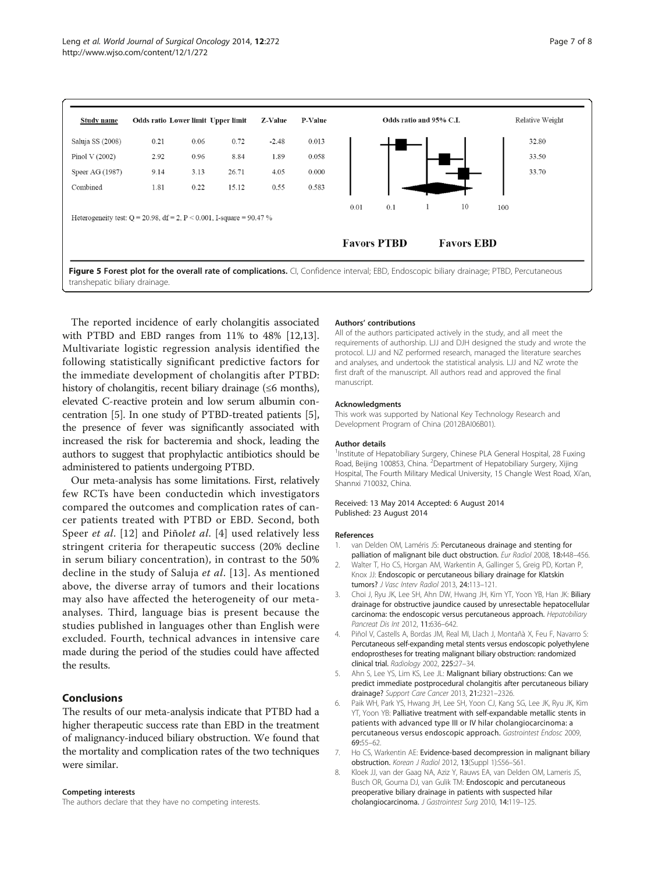<span id="page-6-0"></span>

The reported incidence of early cholangitis associated with PTBD and EBD ranges from 11% to 48% [\[12,13](#page-7-0)]. Multivariate logistic regression analysis identified the following statistically significant predictive factors for the immediate development of cholangitis after PTBD: history of cholangitis, recent biliary drainage  $(\leq 6$  months), elevated C-reactive protein and low serum albumin concentration [5]. In one study of PTBD-treated patients [5], the presence of fever was significantly associated with increased the risk for bacteremia and shock, leading the authors to suggest that prophylactic antibiotics should be administered to patients undergoing PTBD.

Our meta-analysis has some limitations. First, relatively few RCTs have been conductedin which investigators compared the outcomes and complication rates of cancer patients treated with PTBD or EBD. Second, both Speer *et al.* [\[12](#page-7-0)] and Piñolet al. [4] used relatively less stringent criteria for therapeutic success (20% decline in serum biliary concentration), in contrast to the 50% decline in the study of Saluja et al. [[13](#page-7-0)]. As mentioned above, the diverse array of tumors and their locations may also have affected the heterogeneity of our metaanalyses. Third, language bias is present because the studies published in languages other than English were excluded. Fourth, technical advances in intensive care made during the period of the studies could have affected the results.

# Conclusions

The results of our meta-analysis indicate that PTBD had a higher therapeutic success rate than EBD in the treatment of malignancy-induced biliary obstruction. We found that the mortality and complication rates of the two techniques were similar.

#### Competing interests

The authors declare that they have no competing interests.

#### Authors' contributions

All of the authors participated actively in the study, and all meet the requirements of authorship. LJJ and DJH designed the study and wrote the protocol. LJJ and NZ performed research, managed the literature searches and analyses, and undertook the statistical analysis. LJJ and NZ wrote the first draft of the manuscript. All authors read and approved the final manuscript.

#### Acknowledgments

This work was supported by National Key Technology Research and Development Program of China (2012BAI06B01).

#### Author details

<sup>1</sup>Institute of Hepatobiliary Surgery, Chinese PLA General Hospital, 28 Fuxing Road, Beijing 100853, China. <sup>2</sup> Department of Hepatobiliary Surgery, Xijing Hospital, The Fourth Military Medical University, 15 Changle West Road, Xi'an, Shannxi 710032, China.

#### Received: 13 May 2014 Accepted: 6 August 2014 Published: 23 August 2014

#### References

- van Delden OM, Laméris JS: Percutaneous drainage and stenting for palliation of malignant bile duct obstruction. Eur Radiol 2008, 18:448–456.
- 2. Walter T, Ho CS, Horgan AM, Warkentin A, Gallinger S, Greig PD, Kortan P, Knox JJ: Endoscopic or percutaneous biliary drainage for Klatskin tumors? J Vasc Interv Radiol 2013, 24:113–121.
- 3. Choi J, Ryu JK, Lee SH, Ahn DW, Hwang JH, Kim YT, Yoon YB, Han JK: Biliary drainage for obstructive jaundice caused by unresectable hepatocellular carcinoma: the endoscopic versus percutaneous approach. Hepatobiliary Pancreat Dis Int 2012, 11:636–642.
- 4. Piñol V, Castells A, Bordas JM, Real MI, Llach J, Montañà X, Feu F, Navarro S: Percutaneous self-expanding metal stents versus endoscopic polyethylene endoprostheses for treating malignant biliary obstruction: randomized clinical trial. Radiology 2002, 225:27–34.
- 5. Ahn S, Lee YS, Lim KS, Lee JL: Malignant biliary obstructions: Can we predict immediate postprocedural cholangitis after percutaneous biliary drainage? Support Care Cancer 2013, 21:2321–2326.
- 6. Paik WH, Park YS, Hwang JH, Lee SH, Yoon CJ, Kang SG, Lee JK, Ryu JK, Kim YT, Yoon YB: Palliative treatment with self-expandable metallic stents in patients with advanced type III or IV hilar cholangiocarcinoma: a percutaneous versus endoscopic approach. Gastrointest Endosc 2009, 69:55–62.
- 7. Ho CS, Warkentin AE: Evidence-based decompression in malignant biliary obstruction. Korean J Radiol 2012, 13(Suppl 1):S56–S61.
- 8. Kloek JJ, van der Gaag NA, Aziz Y, Rauws EA, van Delden OM, Lameris JS, Busch OR, Gouma DJ, van Gulik TM: Endoscopic and percutaneous preoperative biliary drainage in patients with suspected hilar cholangiocarcinoma. J Gastrointest Surg 2010, 14:119–125.